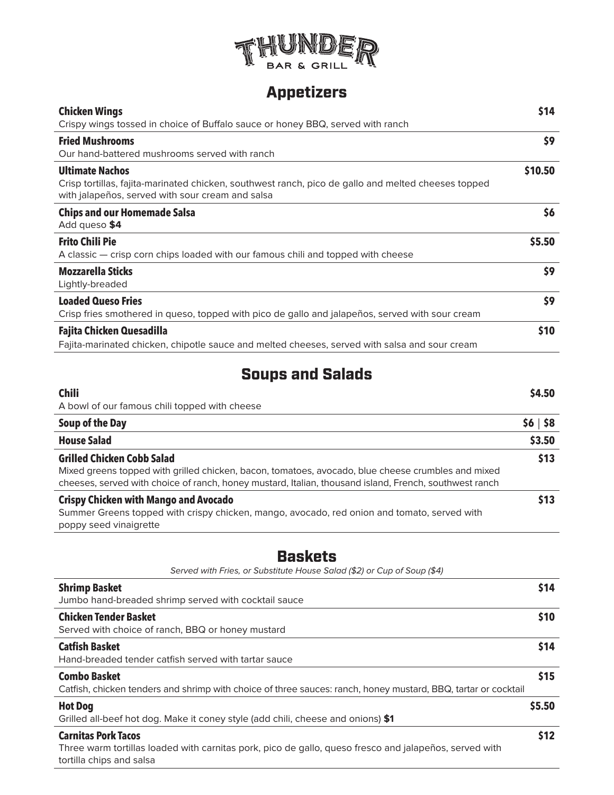

# Appetizers

| <b>Chicken Wings</b>                                                                                                                                    | \$14    |
|---------------------------------------------------------------------------------------------------------------------------------------------------------|---------|
| Crispy wings tossed in choice of Buffalo sauce or honey BBQ, served with ranch                                                                          |         |
| <b>Fried Mushrooms</b>                                                                                                                                  | \$9     |
| Our hand-battered mushrooms served with ranch                                                                                                           |         |
| <b>Ultimate Nachos</b>                                                                                                                                  | \$10.50 |
| Crisp tortillas, fajita-marinated chicken, southwest ranch, pico de gallo and melted cheeses topped<br>with jalapenos, served with sour cream and salsa |         |
| <b>Chips and our Homemade Salsa</b><br>Add queso \$4                                                                                                    | \$6     |
| <b>Frito Chili Pie</b>                                                                                                                                  | \$5.50  |
| A classic — crisp corn chips loaded with our famous chili and topped with cheese                                                                        |         |
| <b>Mozzarella Sticks</b>                                                                                                                                | \$9     |
| Lightly-breaded                                                                                                                                         |         |
| <b>Loaded Queso Fries</b>                                                                                                                               | \$9     |
| Crisp fries smothered in queso, topped with pico de gallo and jalapeños, served with sour cream                                                         |         |
| Fajita Chicken Quesadilla                                                                                                                               | \$10    |
| Fajita-marinated chicken, chipotle sauce and melted cheeses, served with salsa and sour cream                                                           |         |
|                                                                                                                                                         |         |
| <b>Soups and Salads</b>                                                                                                                                 |         |

| <b>Chili</b>                                                                                           | \$4.50      |
|--------------------------------------------------------------------------------------------------------|-------------|
| A bowl of our famous chili topped with cheese                                                          |             |
| Soup of the Day                                                                                        | \$6   \$8\$ |
| <b>House Salad</b>                                                                                     | \$3.50      |
| <b>Grilled Chicken Cobb Salad</b>                                                                      | \$13        |
| Mixed greens topped with grilled chicken, bacon, tomatoes, avocado, blue cheese crumbles and mixed     |             |
| cheeses, served with choice of ranch, honey mustard, Italian, thousand island, French, southwest ranch |             |
| <b>Crispy Chicken with Mango and Avocado</b>                                                           | 513         |
| Summer Greens topped with crispy chicken, mango, avocado, red onion and tomato, served with            |             |
| poppy seed vinaigrette                                                                                 |             |

# **Baskets**

| Served with Fries, or Substitute House Salad (\$2) or Cup of Soup (\$4)                                        |        |
|----------------------------------------------------------------------------------------------------------------|--------|
| <b>Shrimp Basket</b>                                                                                           | \$14   |
| Jumbo hand-breaded shrimp served with cocktail sauce                                                           |        |
| <b>Chicken Tender Basket</b>                                                                                   | \$10   |
| Served with choice of ranch, BBQ or honey mustard                                                              |        |
| <b>Catfish Basket</b>                                                                                          | \$14   |
| Hand-breaded tender catfish served with tartar sauce                                                           |        |
| <b>Combo Basket</b>                                                                                            | \$15   |
| Catfish, chicken tenders and shrimp with choice of three sauces: ranch, honey mustard, BBQ, tartar or cocktail |        |
| <b>Hot Dog</b>                                                                                                 | \$5.50 |
| Grilled all-beef hot dog. Make it coney style (add chili, cheese and onions) \$1                               |        |
| <b>Carnitas Pork Tacos</b>                                                                                     | \$12   |
| Three warm tortillas loaded with carnitas pork, pico de gallo, queso fresco and jalapeños, served with         |        |
| tortilla chips and salsa                                                                                       |        |